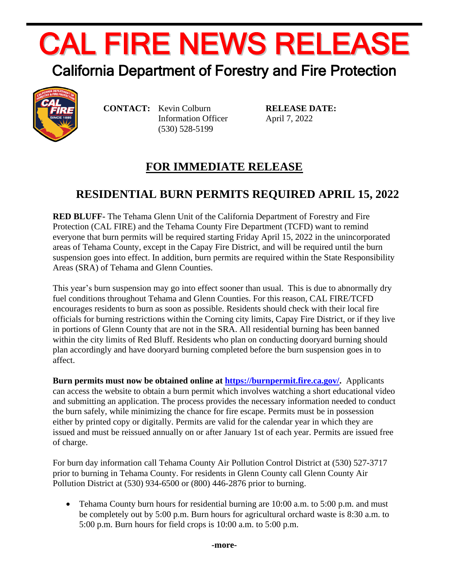## CAL FIRE NEWS RELEASE

## California Department of Forestry and Fire Protection



**CONTACT:** Kevin Colburn Information Officer (530) 528-5199

**RELEASE DATE:** April 7, 2022

## **FOR IMMEDIATE RELEASE**

## **RESIDENTIAL BURN PERMITS REQUIRED APRIL 15, 2022**

**RED BLUFF-** The Tehama Glenn Unit of the California Department of Forestry and Fire Protection (CAL FIRE) and the Tehama County Fire Department (TCFD) want to remind everyone that burn permits will be required starting Friday April 15, 2022 in the unincorporated areas of Tehama County, except in the Capay Fire District, and will be required until the burn suspension goes into effect. In addition, burn permits are required within the State Responsibility Areas (SRA) of Tehama and Glenn Counties.

This year's burn suspension may go into effect sooner than usual. This is due to abnormally dry fuel conditions throughout Tehama and Glenn Counties. For this reason, CAL FIRE/TCFD encourages residents to burn as soon as possible. Residents should check with their local fire officials for burning restrictions within the Corning city limits, Capay Fire District, or if they live in portions of Glenn County that are not in the SRA. All residential burning has been banned within the city limits of Red Bluff. Residents who plan on conducting dooryard burning should plan accordingly and have dooryard burning completed before the burn suspension goes in to affect.

**Burn permits must now be obtained online at [https://burnpermit.fire.ca.gov/.](https://burnpermit.fire.ca.gov/)** Applicants can access the website to obtain a burn permit which involves watching a short educational video and submitting an application. The process provides the necessary information needed to conduct the burn safely, while minimizing the chance for fire escape. Permits must be in possession either by printed copy or digitally. Permits are valid for the calendar year in which they are issued and must be reissued annually on or after January 1st of each year. Permits are issued free of charge.

For burn day information call Tehama County Air Pollution Control District at (530) 527-3717 prior to burning in Tehama County. For residents in Glenn County call Glenn County Air Pollution District at (530) 934-6500 or (800) 446-2876 prior to burning.

• Tehama County burn hours for residential burning are 10:00 a.m. to 5:00 p.m. and must be completely out by 5:00 p.m. Burn hours for agricultural orchard waste is 8:30 a.m. to 5:00 p.m. Burn hours for field crops is 10:00 a.m. to 5:00 p.m.